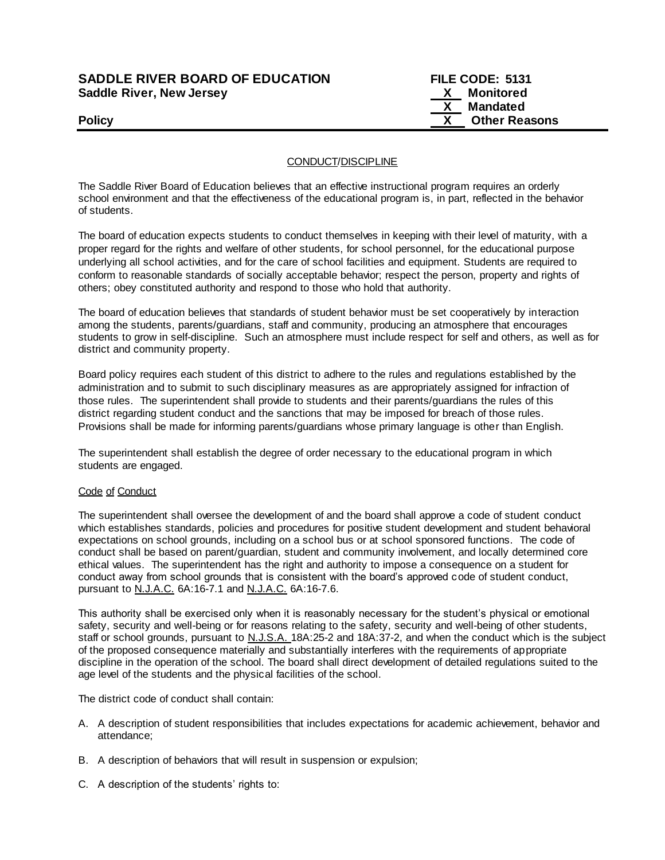# **SADDLE RIVER BOARD OF EDUCATION FILE CODE: 5131 Saddle River, New Jersey X Monitored**

 **X Mandated Policy CONSERVING CONSERVANCE CONSERVANCE CONSERVANCE CONSERVANCE CONSERVANCE CONSERVANCE CONSERVANCE CONSERVANCE CONSERVANCE CONSERVANCE CONSERVANCE CONSERVANCE CONSERVANCE CONSERVANCE CONSERVANCE CONSERVANCE CONSERVAN** 

### CONDUCT/DISCIPLINE

The Saddle River Board of Education believes that an effective instructional program requires an orderly school environment and that the effectiveness of the educational program is, in part, reflected in the behavior of students.

The board of education expects students to conduct themselves in keeping with their level of maturity, with a proper regard for the rights and welfare of other students, for school personnel, for the educational purpose underlying all school activities, and for the care of school facilities and equipment. Students are required to conform to reasonable standards of socially acceptable behavior; respect the person, property and rights of others; obey constituted authority and respond to those who hold that authority.

The board of education believes that standards of student behavior must be set cooperatively by interaction among the students, parents/guardians, staff and community, producing an atmosphere that encourages students to grow in self-discipline. Such an atmosphere must include respect for self and others, as well as for district and community property.

Board policy requires each student of this district to adhere to the rules and regulations established by the administration and to submit to such disciplinary measures as are appropriately assigned for infraction of those rules. The superintendent shall provide to students and their parents/guardians the rules of this district regarding student conduct and the sanctions that may be imposed for breach of those rules. Provisions shall be made for informing parents/guardians whose primary language is other than English.

The superintendent shall establish the degree of order necessary to the educational program in which students are engaged.

### Code of Conduct

The superintendent shall oversee the development of and the board shall approve a code of student conduct which establishes standards, policies and procedures for positive student development and student behavioral expectations on school grounds, including on a school bus or at school sponsored functions. The code of conduct shall be based on parent/guardian, student and community involvement, and locally determined core ethical values. The superintendent has the right and authority to impose a consequence on a student for conduct away from school grounds that is consistent with the board's approved code of student conduct, pursuant to N.J.A.C. 6A:16-7.1 and N.J.A.C. 6A:16-7.6.

This authority shall be exercised only when it is reasonably necessary for the student's physical or emotional safety, security and well-being or for reasons relating to the safety, security and well-being of other students, staff or school grounds, pursuant to N.J.S.A. 18A:25-2 and 18A:37-2, and when the conduct which is the subject of the proposed consequence materially and substantially interferes with the requirements of appropriate discipline in the operation of the school. The board shall direct development of detailed regulations suited to the age level of the students and the physical facilities of the school.

The district code of conduct shall contain:

- A. A description of student responsibilities that includes expectations for academic achievement, behavior and attendance;
- B. A description of behaviors that will result in suspension or expulsion;
- C. A description of the students' rights to: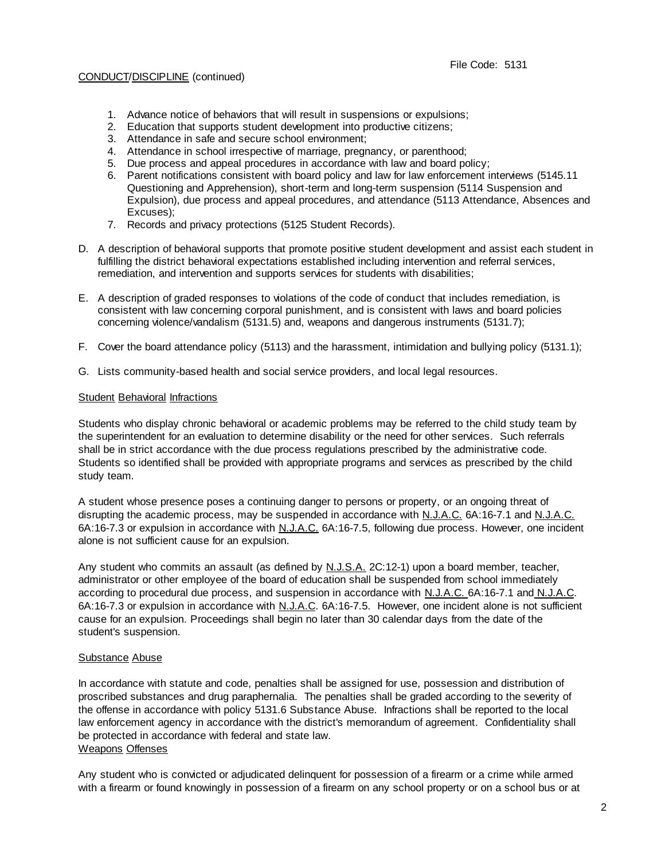- 1. Advance notice of behaviors that will result in suspensions or expulsions;
- 2. Education that supports student development into productive citizens;
- 3. Attendance in safe and secure school environment;
- 4. Attendance in school irrespective of marriage, pregnancy, or parenthood;
- 5. Due process and appeal procedures in accordance with law and board policy;
- 6. Parent notifications consistent with board policy and law for law enforcement interviews (5145.11 Questioning and Apprehension), short-term and long-term suspension (5114 Suspension and Expulsion), due process and appeal procedures, and attendance (5113 Attendance, Absences and Excuses);
- 7. Records and privacy protections (5125 Student Records).
- D. A description of behavioral supports that promote positive student development and assist each student in fulfilling the district behavioral expectations established including intervention and referral services, remediation, and intervention and supports services for students with disabilities;
- E. A description of graded responses to violations of the code of conduct that includes remediation, is consistent with law concerning corporal punishment, and is consistent with laws and board policies concerning violence/vandalism (5131.5) and, weapons and dangerous instruments (5131.7);
- F. Cover the board attendance policy (5113) and the harassment, intimidation and bullying policy (5131.1);
- G. Lists community-based health and social service providers, and local legal resources.

# Student Behavioral Infractions

Students who display chronic behavioral or academic problems may be referred to the child study team by the superintendent for an evaluation to determine disability or the need for other services. Such referrals shall be in strict accordance with the due process regulations prescribed by the administrative code. Students so identified shall be provided with appropriate programs and services as prescribed by the child study team.

A student whose presence poses a continuing danger to persons or property, or an ongoing threat of disrupting the academic process, may be suspended in accordance with N.J.A.C. 6A:16-7.1 and N.J.A.C. 6A:16-7.3 or expulsion in accordance with N.J.A.C. 6A:16-7.5, following due process. However, one incident alone is not sufficient cause for an expulsion.

Any student who commits an assault (as defined by N.J.S.A. 2C:12-1) upon a board member, teacher, administrator or other employee of the board of education shall be suspended from school immediately according to procedural due process, and suspension in accordance with N.J.A.C. 6A:16-7.1 and N.J.A.C. 6A:16-7.3 or expulsion in accordance with N.J.A.C. 6A:16-7.5. However, one incident alone is not sufficient cause for an expulsion. Proceedings shall begin no later than 30 calendar days from the date of the student's suspension.

### Substance Abuse

In accordance with statute and code, penalties shall be assigned for use, possession and distribution of proscribed substances and drug paraphernalia. The penalties shall be graded according to the severity of the offense in accordance with policy 5131.6 Substance Abuse. Infractions shall be reported to the local law enforcement agency in accordance with the district's memorandum of agreement. Confidentiality shall be protected in accordance with federal and state law. Weapons Offenses

Any student who is convicted or adjudicated delinquent for possession of a firearm or a crime while armed with a firearm or found knowingly in possession of a firearm on any school property or on a school bus or at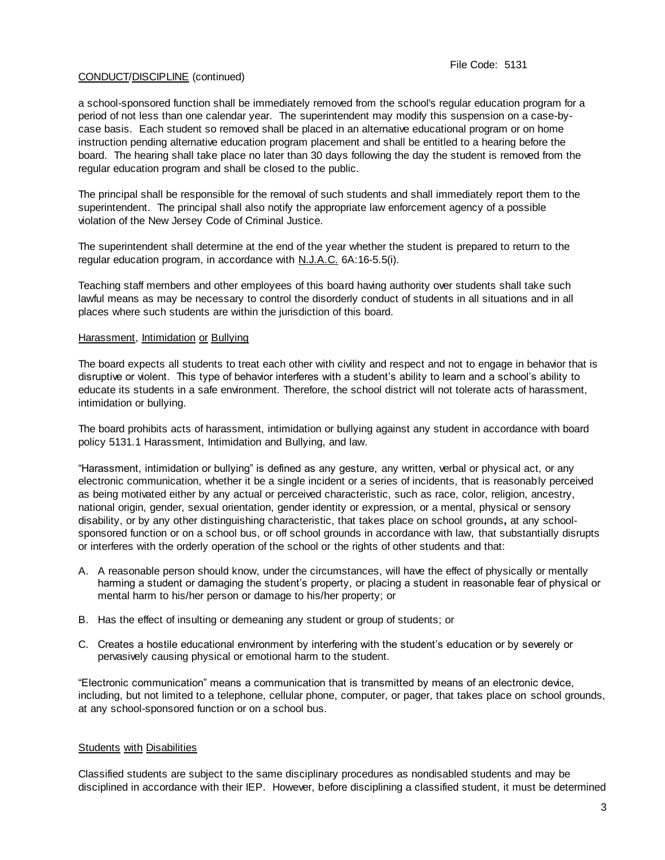a school-sponsored function shall be immediately removed from the school's regular education program for a period of not less than one calendar year. The superintendent may modify this suspension on a case-bycase basis. Each student so removed shall be placed in an alternative educational program or on home instruction pending alternative education program placement and shall be entitled to a hearing before the board. The hearing shall take place no later than 30 days following the day the student is removed from the regular education program and shall be closed to the public.

The principal shall be responsible for the removal of such students and shall immediately report them to the superintendent. The principal shall also notify the appropriate law enforcement agency of a possible violation of the New Jersey Code of Criminal Justice.

The superintendent shall determine at the end of the year whether the student is prepared to return to the regular education program, in accordance with N.J.A.C. 6A:16-5.5(i).

Teaching staff members and other employees of this board having authority over students shall take such lawful means as may be necessary to control the disorderly conduct of students in all situations and in all places where such students are within the jurisdiction of this board.

### Harassment, Intimidation or Bullying

The board expects all students to treat each other with civility and respect and not to engage in behavior that is disruptive or violent. This type of behavior interferes with a student's ability to learn and a school's ability to educate its students in a safe environment. Therefore, the school district will not tolerate acts of harassment, intimidation or bullying.

The board prohibits acts of harassment, intimidation or bullying against any student in accordance with board policy 5131.1 Harassment, Intimidation and Bullying, and law.

"Harassment, intimidation or bullying" is defined as any gesture, any written, verbal or physical act, or any electronic communication, whether it be a single incident or a series of incidents, that is reasonably perceived as being motivated either by any actual or perceived characteristic, such as race, color, religion, ancestry, national origin, gender, sexual orientation, gender identity or expression, or a mental, physical or sensory disability, or by any other distinguishing characteristic, that takes place on school grounds**,** at any schoolsponsored function or on a school bus, or off school grounds in accordance with law, that substantially disrupts or interferes with the orderly operation of the school or the rights of other students and that:

- A. A reasonable person should know, under the circumstances, will have the effect of physically or mentally harming a student or damaging the student's property, or placing a student in reasonable fear of physical or mental harm to his/her person or damage to his/her property; or
- B. Has the effect of insulting or demeaning any student or group of students; or
- C. Creates a hostile educational environment by interfering with the student's education or by severely or pervasively causing physical or emotional harm to the student.

"Electronic communication" means a communication that is transmitted by means of an electronic device, including, but not limited to a telephone, cellular phone, computer, or pager, that takes place on school grounds, at any school-sponsored function or on a school bus.

### Students with Disabilities

Classified students are subject to the same disciplinary procedures as nondisabled students and may be disciplined in accordance with their IEP. However, before disciplining a classified student, it must be determined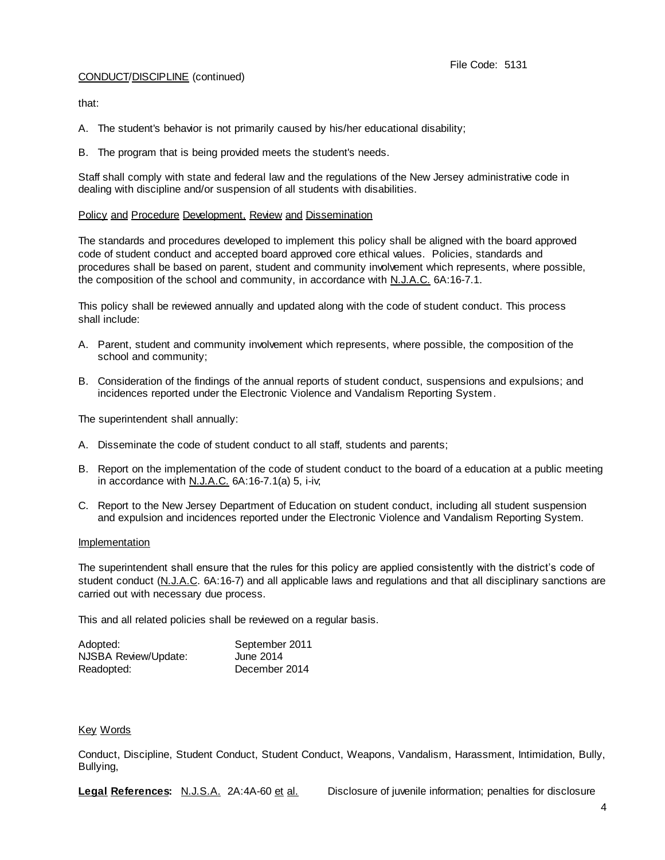that:

- A. The student's behavior is not primarily caused by his/her educational disability;
- B. The program that is being provided meets the student's needs.

Staff shall comply with state and federal law and the regulations of the New Jersey administrative code in dealing with discipline and/or suspension of all students with disabilities.

### Policy and Procedure Development, Review and Dissemination

The standards and procedures developed to implement this policy shall be aligned with the board approved code of student conduct and accepted board approved core ethical values. Policies, standards and procedures shall be based on parent, student and community involvement which represents, where possible, the composition of the school and community, in accordance with N.J.A.C. 6A:16-7.1.

This policy shall be reviewed annually and updated along with the code of student conduct. This process shall include:

- A. Parent, student and community involvement which represents, where possible, the composition of the school and community;
- B. Consideration of the findings of the annual reports of student conduct, suspensions and expulsions; and incidences reported under the Electronic Violence and Vandalism Reporting System.

The superintendent shall annually:

- A. Disseminate the code of student conduct to all staff, students and parents;
- B. Report on the implementation of the code of student conduct to the board of a education at a public meeting in accordance with  $N.J.A.C.$  6A:16-7.1(a) 5, i-iv,
- C. Report to the New Jersey Department of Education on student conduct, including all student suspension and expulsion and incidences reported under the Electronic Violence and Vandalism Reporting System.

### **Implementation**

The superintendent shall ensure that the rules for this policy are applied consistently with the district's code of student conduct (N.J.A.C. 6A:16-7) and all applicable laws and regulations and that all disciplinary sanctions are carried out with necessary due process.

This and all related policies shall be reviewed on a regular basis.

| Adopted:             | September 2011 |
|----------------------|----------------|
| NJSBA Review/Update: | June 2014      |
| Readopted:           | December 2014  |

### Key Words

Conduct, Discipline, Student Conduct, Student Conduct, Weapons, Vandalism, Harassment, Intimidation, Bully, Bullying,

**Legal References:** N.J.S.A. 2A:4A-60 et al. Disclosure of juvenile information; penalties for disclosure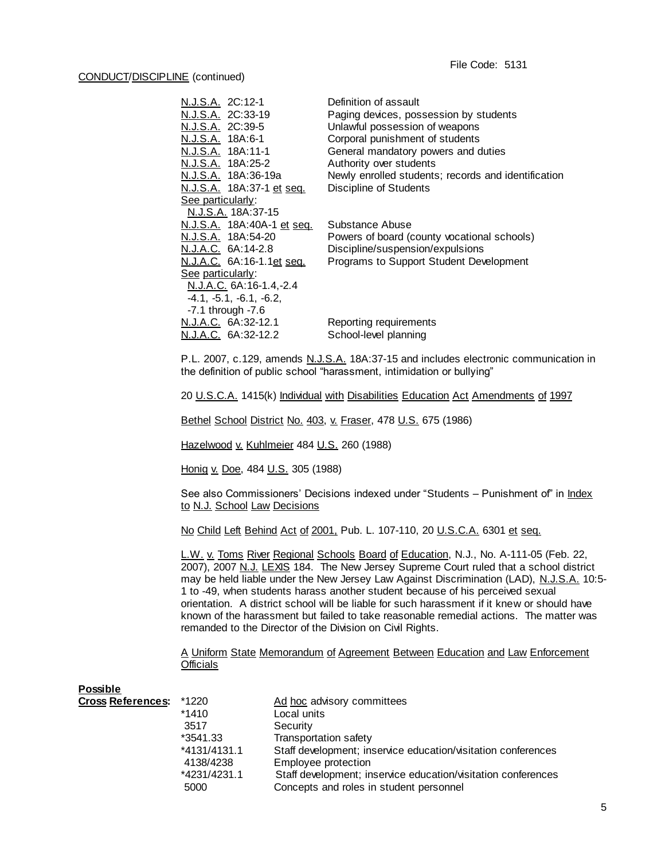| <u>N.J.S.A.</u> 2C:12-1                  | Definition of assault                               |
|------------------------------------------|-----------------------------------------------------|
| N.J.S.A. 2C:33-19                        | Paging devices, possession by students              |
| N.J.S.A. 2C:39-5                         | Unlawful possession of weapons                      |
| N.J.S.A. 18A:6-1                         | Corporal punishment of students                     |
| N.J.S.A. 18A:11-1                        | General mandatory powers and duties                 |
| N.J.S.A. 18A:25-2                        | Authority over students                             |
| N.J.S.A. 18A:36-19a                      | Newly enrolled students; records and identification |
| <u>N.J.S.A.</u> 18A:37-1 et seq.         | <b>Discipline of Students</b>                       |
| See particularly:                        |                                                     |
| N.J.S.A. 18A:37-15                       |                                                     |
| <u>N.J.S.A.</u> 18A:40A-1 <u>et seq.</u> | Substance Abuse                                     |
| <u>N.J.S.A.</u> 18A:54-20                | Powers of board (county vocational schools)         |
| N.J.A.C. 6A:14-2.8                       | Discipline/suspension/expulsions                    |
| <u>N.J.A.C.</u> 6A:16-1.1 <u>et seq.</u> | Programs to Support Student Development             |
| <u>See particularly:</u>                 |                                                     |
| N.J.A.C. 6A:16-1.4,-2.4                  |                                                     |
| -4.1, -5.1, -6.1, -6.2,                  |                                                     |
| $-7.1$ through $-7.6$                    |                                                     |
| <u>N.J.A.C.</u> 6A:32-12.1               | Reporting requirements                              |
| N.J.A.C. 6A:32-12.2                      | School-level planning                               |

P.L. 2007, c.129, amends N.J.S.A. 18A:37-15 and includes electronic communication in the definition of public school "harassment, intimidation or bullying"

20 U.S.C.A. 1415(k) Individual with Disabilities Education Act Amendments of 1997

Bethel School District No. 403, v. Fraser, 478 U.S. 675 (1986)

Hazelwood v. Kuhlmeier 484 U.S. 260 (1988)

Honig v. Doe, 484 U.S. 305 (1988)

See also Commissioners' Decisions indexed under "Students - Punishment of" in *Index* to N.J. School Law Decisions

No Child Left Behind Act of 2001, Pub. L. 107-110, 20 U.S.C.A. 6301 et seq.

L.W. v. Toms River Regional Schools Board of Education, N.J., No. A-111-05 (Feb. 22, 2007), 2007 N.J. LEXIS 184. The New Jersey Supreme Court ruled that a school district may be held liable under the New Jersey Law Against Discrimination (LAD), N.J.S.A. 10:5- 1 to -49, when students harass another student because of his perceived sexual orientation. A district school will be liable for such harassment if it knew or should have known of the harassment but failed to take reasonable remedial actions. The matter was remanded to the Director of the Division on Civil Rights.

A Uniform State Memorandum of Agreement Between Education and Law Enforcement **Officials** 

| Possible                 |              |                                                               |
|--------------------------|--------------|---------------------------------------------------------------|
| <b>Cross References:</b> | *1220        | Ad hoc advisory committees                                    |
|                          | $*1410$      | Local units                                                   |
|                          | 3517         | Security                                                      |
|                          | *3541.33     | Transportation safety                                         |
|                          | *4131/4131.1 | Staff development; inservice education/visitation conferences |
|                          | 4138/4238    | Employee protection                                           |
|                          | *4231/4231.1 | Staff development; inservice education/visitation conferences |
|                          | 5000         | Concepts and roles in student personnel                       |